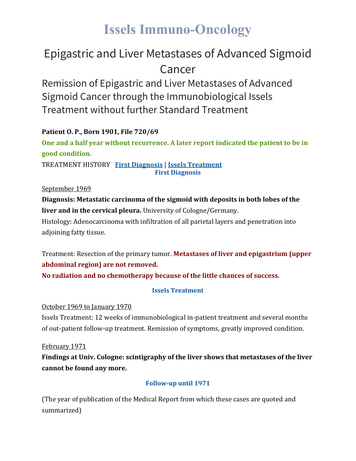# **Issels Immuno-Oncology**

### Epigastric and Liver Metastases of Advanced Sigmoid Cancer

Remission of Epigastric and Liver Metastases of Advanced Sigmoid Cancer through the Immunobiological Issels Treatment without further Standard Treatment

#### **Patient O. P., Born 1901, File 720/69**

**One and a half year without recurrence. A later report indicated the patient to be in good condition.**

TREATMENT HISTORY **First [Diagnosis](https://issels.com/cancer-cases/liver-4-epigastric-and-liver-metastases-of-advanced-sigmoid-cancer/#First)** | **Issels [Treatment](https://issels.com/cancer-cases/liver-4-epigastric-and-liver-metastases-of-advanced-sigmoid-cancer/#Issels) First Diagnosis**

September 1969

**Diagnosis: Metastatic carcinoma of the sigmoid with deposits in both lobes of the liver and in the cervical pleura.** University of Cologne/Germany. Histology: Adenocarcinoma with infiltration of all parietal layers and penetration into adjoining fatty tissue.

Treatment: Resection of the primary tumor. **Metastases of liver and epigastrium (upper abdominal region) are not removed. No radiation and no chemotherapy because of the little chances of success.**

#### **Issels Treatment**

October 1969 to January 1970

Issels Treatment: 12 weeks of immunobiological in-patient treatment and several months of out-patient follow-up treatment. Remission of symptoms, greatly improved condition.

February 1971

**Findings at Univ. Cologne: scintigraphy of the liver shows that metastases of the liver cannot be found any more.**

#### **Follow-up until 1971**

(The year of publication of the Medical Report from which these cases are quoted and summarized)